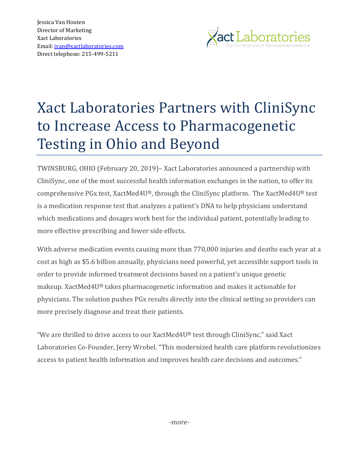Jessica Van Houten Director of Marketing Xact Laboratories Email[: jvan@xactlaboratories.com](mailto:jvan@xactlaboratories.com) Direct telephone: 215-499-5211



## Xact Laboratories Partners with CliniSync to Increase Access to Pharmacogenetic Testing in Ohio and Beyond

TWINSBURG, OHIO (February 20, 2019)– Xact Laboratories announced a partnership with CliniSync, one of the most successful health information exchanges in the nation, to offer its comprehensive PGx test, XactMed4U®, through the CliniSync platform. The XactMed4U® test is a medication response test that analyzes a patient's DNA to help physicians understand which medications and dosages work best for the individual patient, potentially leading to more effective prescribing and fewer side effects.

With adverse medication events causing more than 770,000 injuries and deaths each year at a cost as high as \$5.6 billion annually, physicians need powerful, yet accessible support tools in order to provide informed treatment decisions based on a patient's unique genetic makeup. XactMed4U® takes pharmacogenetic information and makes it actionable for physicians. The solution pushes PGx results directly into the clinical setting so providers can more precisely diagnose and treat their patients.

"We are thrilled to drive access to our  $X$ actMed $4U$ ® test through CliniSync," said  $X$ act Laboratories Co-Founder, Jerry Wrobel. "This modernized health care platform revolutionizes access to patient health information and improves health care decisions and outcomes."